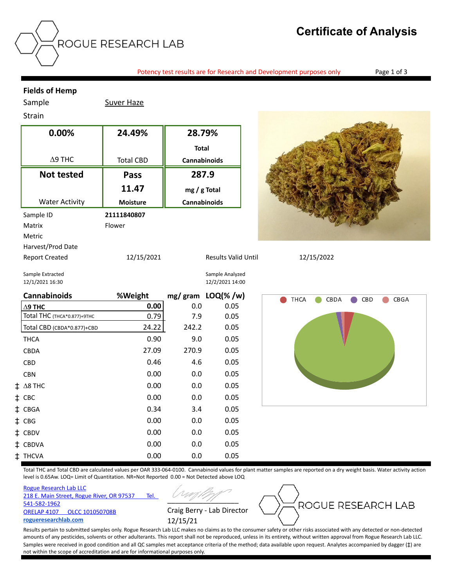# **Certificate of Analysis**

Potency test results are for Research and Development purposes only Page 1 of 3

### **Fields of Hemp**

Sample Suver Haze

## Strain

| 0.00%                 | 24.49%           | 28.79%                     |            |
|-----------------------|------------------|----------------------------|------------|
|                       |                  | <b>Total</b>               |            |
| $\Delta$ 9 THC        | <b>Total CBD</b> | <b>Cannabinoids</b>        |            |
| <b>Not tested</b>     | <b>Pass</b>      | 287.9                      |            |
|                       | 11.47            | $mg/g$ Total               |            |
| <b>Water Activity</b> | <b>Moisture</b>  | <b>Cannabinoids</b>        |            |
| Sample ID             | 21111840807      |                            |            |
| Matrix                | Flower           |                            |            |
| Metric                |                  |                            |            |
| Harvest/Prod Date     |                  |                            |            |
| <b>Report Created</b> | 12/15/2021       | <b>Results Valid Until</b> | 12/15/2022 |



Sample Extracted Sample Analyzed 12/1/2021 16:30 12/2/2021 14:00

|    | <b>Cannabinoids</b>         | %Weight |       | mg/gram LOQ(%/w) |
|----|-----------------------------|---------|-------|------------------|
|    | $\Delta$ 9 THC              | 0.00    | 0.0   | 0.05             |
|    | Total THC (ТНСА*0.877)+9ТНС | 0.79    | 7.9   | 0.05             |
|    | Total CBD (CBDA*0.877)+CBD  | 24.22   | 242.2 | 0.05             |
|    | <b>THCA</b>                 | 0.90    | 9.0   | 0.05             |
|    | <b>CBDA</b>                 | 27.09   | 270.9 | 0.05             |
|    | <b>CBD</b>                  | 0.46    | 4.6   | 0.05             |
|    | <b>CBN</b>                  | 0.00    | 0.0   | 0.05             |
| ŧ. | $\Delta$ 8 THC              | 0.00    | 0.0   | 0.05             |
| ‡. | CBC                         | 0.00    | 0.0   | 0.05             |
| İ. | <b>CBGA</b>                 | 0.34    | 3.4   | 0.05             |
| ‡. | <b>CBG</b>                  | 0.00    | 0.0   | 0.05             |
| ⋣  | <b>CBDV</b>                 | 0.00    | 0.0   | 0.05             |
| ⇟  | <b>CBDVA</b>                | 0.00    | 0.0   | 0.05             |
| İ  | <b>THCVA</b>                | 0.00    | 0.0   | 0.05             |



Total THC and Total CBD are calculated values per OAR 333-064-0100. Cannabinoid values for plant matter samples are reported on a dry weight basis. Water activity action level is 0.65Aw. LOQ= Limit of Quantitation. NR=Not Reported 0.00 = Not Detected above LOQ

Rogue Research Lab LLC 218 E. Main Street, Rogue River, OR 97537 Tel. 541-582-1962 ORELAP 4107 OLCC 101050708B **rogueresearchlab.com**

 $\overline{\phantom{a}}$ Craig Berry - Lab Director 12/15/21



Results pertain to submitted samples only. Rogue Research Lab LLC makes no claims as to the consumer safety or other risks associated with any detected or non-detected amounts of any pesticides, solvents or other adulterants. This report shall not be reproduced, unless in its entirety, without written approval from Rogue Research Lab LLC. Samples were received in good condition and all QC samples met acceptance criteria of the method; data available upon request. Analytes accompanied by dagger ( $\ddagger$ ) are not within the scope of accreditation and are for informational purposes only.

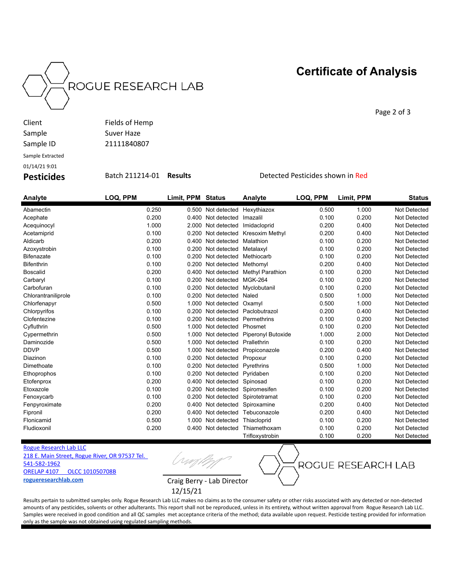



Page 2 of 3

| Client           | Fields of Hemp |
|------------------|----------------|
| Sample           | Suver Haze     |
| Sample ID        | 21111840807    |
| Sample Extracted |                |

01/14/21 9:01

**Pesticides** Batch 211214-01 **Results** Detected Pesticides shown in Red

| Analyte             | LOQ, PPM | Limit, PPM Status |                    | Analyte                | LOQ, PPM | Limit, PPM | <b>Status</b> |
|---------------------|----------|-------------------|--------------------|------------------------|----------|------------|---------------|
| Abamectin           | 0.250    |                   | 0.500 Not detected | Hexythiazox            | 0.500    | 1.000      | Not Detected  |
| Acephate            | 0.200    |                   | 0.400 Not detected | Imazalil               | 0.100    | 0.200      | Not Detected  |
| Acequinocyl         | 1.000    | 2.000             | Not detected       | Imidacloprid           | 0.200    | 0.400      | Not Detected  |
| Acetamiprid         | 0.100    | 0.200             | Not detected       | <b>Kresoxim Methyl</b> | 0.200    | 0.400      | Not Detected  |
| Aldicarb            | 0.200    | 0.400             | Not detected       | Malathion              | 0.100    | 0.200      | Not Detected  |
| Azoxystrobin        | 0.100    | 0.200             | Not detected       | Metalaxyl              | 0.100    | 0.200      | Not Detected  |
| <b>Bifenazate</b>   | 0.100    | 0.200             | Not detected       | Methiocarb             | 0.100    | 0.200      | Not Detected  |
| <b>Bifenthrin</b>   | 0.100    | 0.200             | Not detected       | Methomyl               | 0.200    | 0.400      | Not Detected  |
| <b>Boscalid</b>     | 0.200    | 0.400             | Not detected       | Methyl Parathion       | 0.100    | 0.200      | Not Detected  |
| Carbaryl            | 0.100    | 0.200             | Not detected       | <b>MGK-264</b>         | 0.100    | 0.200      | Not Detected  |
| Carbofuran          | 0.100    | 0.200             | Not detected       | Myclobutanil           | 0.100    | 0.200      | Not Detected  |
| Chlorantraniliprole | 0.100    | 0.200             | Not detected       | Naled                  | 0.500    | 1.000      | Not Detected  |
| Chlorfenapyr        | 0.500    | 1.000             | Not detected       | Oxamyl                 | 0.500    | 1.000      | Not Detected  |
| Chlorpyrifos        | 0.100    | 0.200             | Not detected       | Paclobutrazol          | 0.200    | 0.400      | Not Detected  |
| Clofentezine        | 0.100    | 0.200             | Not detected       | Permethrins            | 0.100    | 0.200      | Not Detected  |
| Cyfluthrin          | 0.500    | 1.000             | Not detected       | Phosmet                | 0.100    | 0.200      | Not Detected  |
| Cypermethrin        | 0.500    | 1.000             | Not detected       | Piperonyl Butoxide     | 1.000    | 2.000      | Not Detected  |
| Daminozide          | 0.500    | 1.000             | Not detected       | Prallethrin            | 0.100    | 0.200      | Not Detected  |
| <b>DDVP</b>         | 0.500    | 1.000             | Not detected       | Propiconazole          | 0.200    | 0.400      | Not Detected  |
| Diazinon            | 0.100    | 0.200             | Not detected       | Propoxur               | 0.100    | 0.200      | Not Detected  |
| Dimethoate          | 0.100    | 0.200             | Not detected       | Pyrethrins             | 0.500    | 1.000      | Not Detected  |
| Ethoprophos         | 0.100    | 0.200             | Not detected       | Pyridaben              | 0.100    | 0.200      | Not Detected  |
| Etofenprox          | 0.200    | 0.400             | Not detected       | Spinosad               | 0.100    | 0.200      | Not Detected  |
| Etoxazole           | 0.100    | 0.200             | Not detected       | Spiromesifen           | 0.100    | 0.200      | Not Detected  |
| Fenoxycarb          | 0.100    | 0.200             | Not detected       | Spirotetramat          | 0.100    | 0.200      | Not Detected  |
| Fenpyroximate       | 0.200    | 0.400             | Not detected       | Spiroxamine            | 0.200    | 0.400      | Not Detected  |
| Fipronil            | 0.200    |                   | 0.400 Not detected | Tebuconazole           | 0.200    | 0.400      | Not Detected  |
| Flonicamid          | 0.500    | 1.000             | Not detected       | Thiacloprid            | 0.100    | 0.200      | Not Detected  |
| Fludioxonil         | 0.200    | 0.400             | Not detected       | Thiamethoxam           | 0.100    | 0.200      | Not Detected  |
|                     |          |                   |                    | Trifloxystrobin        | 0.100    | 0.200      | Not Detected  |

Rogue Research Lab LLC 218 E. Main Street, Rogue River, OR 97537 Tel.

541-582-1962 ORELAP 4107 OLCC 101050708B **rogueresearchlab.com** Craig Berry - Lab Director

(rm/

ROGUE RESEARCH LAB

12/15/21

Results pertain to submitted samples only. Rogue Research Lab LLC makes no claims as to the consumer safety or other risks associated with any detected or non-detected amounts of any pesticides, solvents or other adulterants. This report shall not be reproduced, unless in its entirety, without written approval from Rogue Research Lab LLC. Samples were received in good condition and all QC samples met acceptance criteria of the method; data available upon request. Pesticide testing provided for information only as the sample was not obtained using regulated sampling methods.